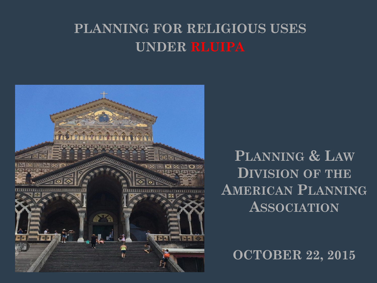## **PLANNING FOR RELIGIOUS USES UNDER RLUIPA**



**PLANNING & LAW DIVISION OF THE AMERICAN PLANNING ASSOCIATION**

**OCTOBER 22, 2015**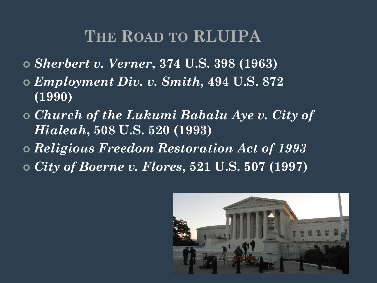# **THE ROAD TO RLUIPA**

- *Sherbert v. Verner***, 374 U.S. 398 (1963)**
- *Employment Div. v. Smith***, 494 U.S. 872 (1990)**
- *Church of the Lukumi Babalu Aye v. City of Hialeah***, 508 U.S. 520 (1993)**
- *Religious Freedom Restoration Act of 1993*
- *City of Boerne v. Flores***, 521 U.S. 507 (1997)**

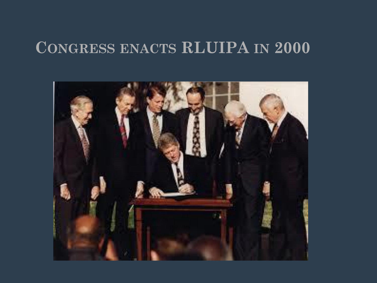# **CONGRESS ENACTS RLUIPA IN 2000**

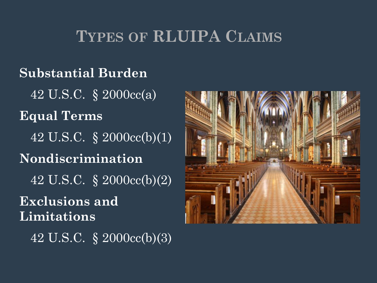# **TYPES OF RLUIPA CLAIMS**

#### **Substantial Burden**

42 U.S.C. § 2000cc(a)

**Equal Terms** 42 U.S.C. § 2000cc(b)(1) **Nondiscrimination** 42 U.S.C. § 2000cc(b)(2)

**Exclusions and Limitations**

42 U.S.C. § 2000cc(b)(3)

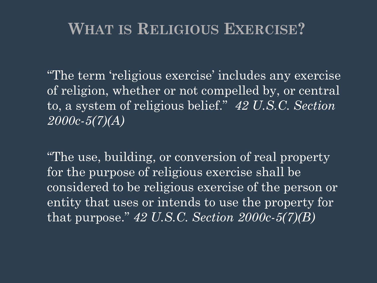# **WHAT IS RELIGIOUS EXERCISE?**

"The term 'religious exercise' includes any exercise of religion, whether or not compelled by, or central to, a system of religious belief." *42 U.S.C. Section 2000c-5(7)(A)*

"The use, building, or conversion of real property for the purpose of religious exercise shall be considered to be religious exercise of the person or entity that uses or intends to use the property for that purpose." *42 U.S.C. Section 2000c-5(7)(B)*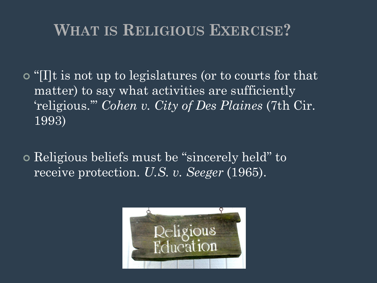# **WHAT IS RELIGIOUS EXERCISE?**

- "[I]t is not up to legislatures (or to courts for that matter) to say what activities are sufficiently 'religious.'" *Cohen v. City of Des Plaines* (7th Cir. 1993)
- Religious beliefs must be "sincerely held" to receive protection. *U.S. v. Seeger* (1965).

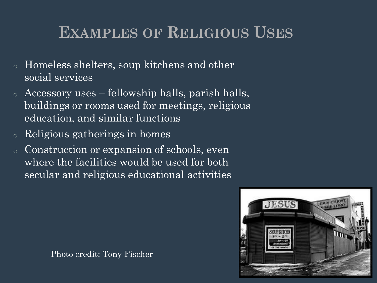# **EXAMPLES OF RELIGIOUS USES**

- o Homeless shelters, soup kitchens and other social services
- o Accessory uses fellowship halls, parish halls, buildings or rooms used for meetings, religious education, and similar functions
- Religious gatherings in homes
- o Construction or expansion of schools, even where the facilities would be used for both secular and religious educational activities

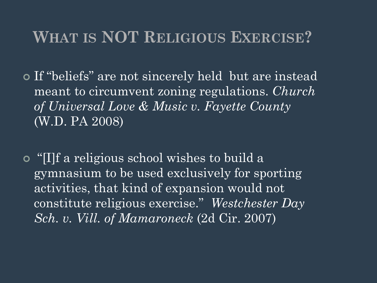# **WHAT IS NOT RELIGIOUS EXERCISE?**

 If "beliefs" are not sincerely held but are instead meant to circumvent zoning regulations. *Church of Universal Love & Music v. Fayette County*  (W.D. PA 2008)

 "[I]f a religious school wishes to build a gymnasium to be used exclusively for sporting activities, that kind of expansion would not constitute religious exercise." *Westchester Day Sch. v. Vill. of Mamaroneck* (2d Cir. 2007)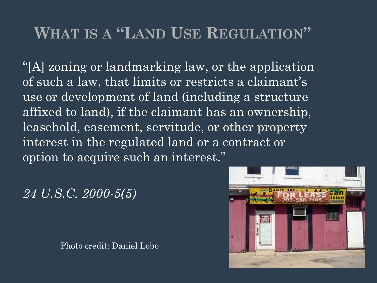# **WHAT IS A "LAND USE REGULATION"**

"[A] zoning or landmarking law, or the application of such a law, that limits or restricts a claimant's use or development of land (including a structure affixed to land), if the claimant has an ownership, leasehold, easement, servitude, or other property interest in the regulated land or a contract or option to acquire such an interest."

*24 U.S.C. 2000-5(5)*

Photo credit: Daniel Lobo

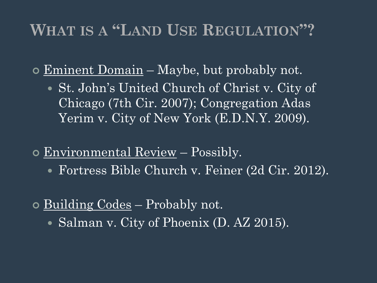# **WHAT IS A "LAND USE REGULATION"?**

- Eminent Domain Maybe, but probably not.
	- St. John's United Church of Christ v. City of Chicago (7th Cir. 2007); Congregation Adas Yerim v. City of New York (E.D.N.Y. 2009).
- Environmental Review Possibly.
	- Fortress Bible Church v. Feiner (2d Cir. 2012).
- $\circ$  Building Codes Probably not.
	- Salman v. City of Phoenix (D. AZ 2015).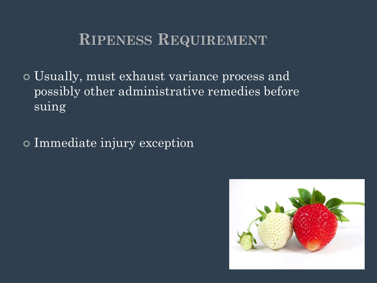# **RIPENESS REQUIREMENT**

 Usually, must exhaust variance process and possibly other administrative remedies before suing

Immediate injury exception

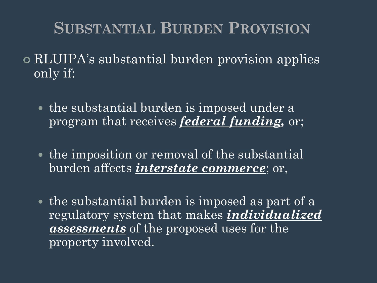# **SUBSTANTIAL BURDEN PROVISION**

- RLUIPA's substantial burden provision applies only if:
	- the substantial burden is imposed under a program that receives *federal funding,* or;
	- the imposition or removal of the substantial burden affects *interstate commerce*; or,
	- the substantial burden is imposed as part of a regulatory system that makes *individualized assessments* of the proposed uses for the property involved.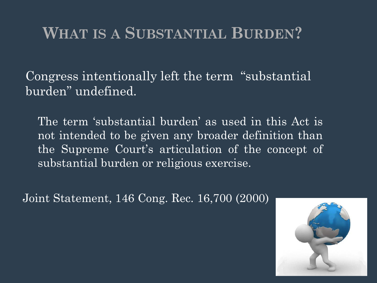Congress intentionally left the term "substantial burden" undefined.

The term 'substantial burden' as used in this Act is not intended to be given any broader definition than the Supreme Court's articulation of the concept of substantial burden or religious exercise.

Joint Statement, 146 Cong. Rec. 16,700 (2000)

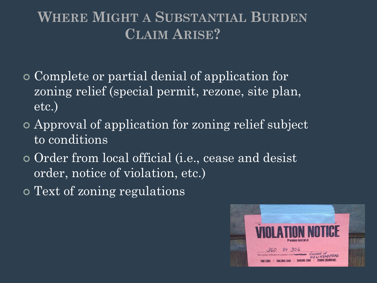## **WHERE MIGHT A SUBSTANTIAL BURDEN CLAIM ARISE?**

- Complete or partial denial of application for zoning relief (special permit, rezone, site plan, etc.)
- Approval of application for zoning relief subject to conditions
- Order from local official (i.e., cease and desist order, notice of violation, etc.)
- Text of zoning regulations

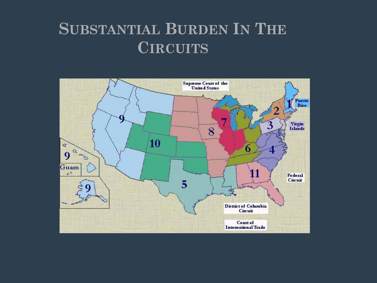# **SUBSTANTIAL BURDEN IN THE CIRCUITS**

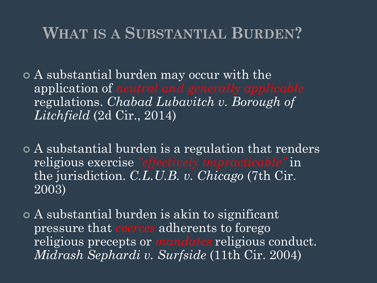A substantial burden may occur with the application of *neutral and generally applicable* regulations. *Chabad Lubavitch v. Borough of Litchfield* (2d Cir., 2014)

- A substantial burden is a regulation that renders religious exercise *"effectively impracticable"* in the jurisdiction. *C.L.U.B. v. Chicago* (7th Cir. 2003)
- A substantial burden is akin to significant pressure that *coerces* adherents to forego religious precepts or *mandates* religious conduct. *Midrash Sephardi v. Surfside* (11th Cir. 2004)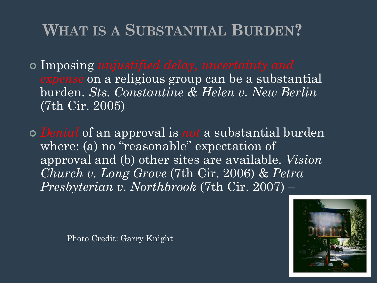- Imposing *unjustified delay, uncertainty and expense* on a religious group can be a substantial burden. *Sts. Constantine & Helen v. New Berlin* (7th Cir. 2005)
- *Denial* of an approval is *not* a substantial burden where: (a) no "reasonable" expectation of approval and (b) other sites are available. *Vision Church v. Long Grove* (7th Cir. 2006) & *Petra Presbyterian v. Northbrook* (7th Cir. 2007) –

Photo Credit: Garry Knight

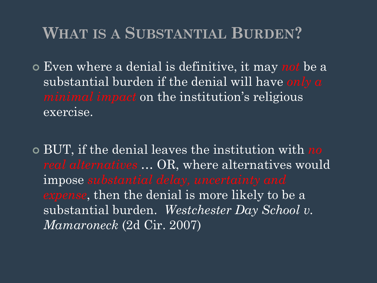- Even where a denial is definitive, it may *not* be a substantial burden if the denial will have *only a minimal impact* on the institution's religious exercise.
- BUT, if the denial leaves the institution with *no real alternatives …* OR, where alternatives would impose *substantial delay, uncertainty and expense*, then the denial is more likely to be a substantial burden. *Westchester Day School v. Mamaroneck* (2d Cir. 2007)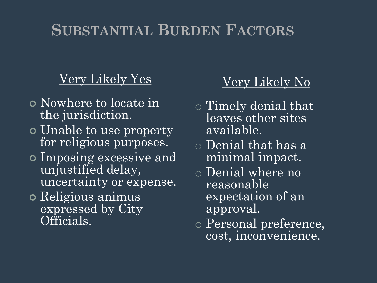# **SUBSTANTIAL BURDEN FACTORS**

#### Very Likely Yes

- Nowhere to locate in the jurisdiction.
- **o** Unable to use property for religious purposes.
- Imposing excessive and unjustified delay, uncertainty or expense.
- Religious animus expressed by City Officials.

#### Very Likely No

- o Timely denial that leaves other sites available.
- o Denial that has a minimal impact.
- o Denial where no reasonable expectation of an approval.
- o Personal preference, cost, inconvenience.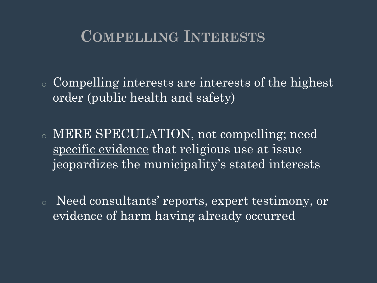# **COMPELLING INTERESTS**

o Compelling interests are interests of the highest order (public health and safety)

o MERE SPECULATION, not compelling; need specific evidence that religious use at issue jeopardizes the municipality's stated interests

o Need consultants' reports, expert testimony, or evidence of harm having already occurred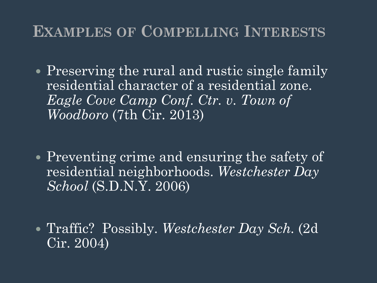# **EXAMPLES OF COMPELLING INTERESTS**

- Preserving the rural and rustic single family residential character of a residential zone. *Eagle Cove Camp Conf. Ctr. v. Town of Woodboro* (7th Cir. 2013)
- Preventing crime and ensuring the safety of residential neighborhoods. *Westchester Day School* (S.D.N.Y. 2006)
- Traffic? Possibly. *Westchester Day Sch.* (2d Cir. 2004)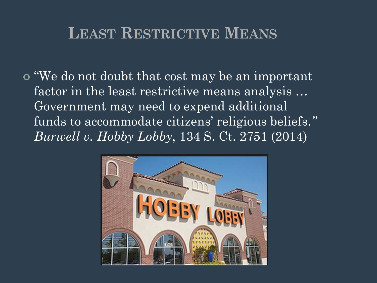## **LEAST RESTRICTIVE MEANS**

o "We do not doubt that cost may be an important factor in the least restrictive means analysis … Government may need to expend additional funds to accommodate citizens' religious beliefs.*" Burwell v. Hobby Lobby*, 134 S. Ct. 2751 (2014)

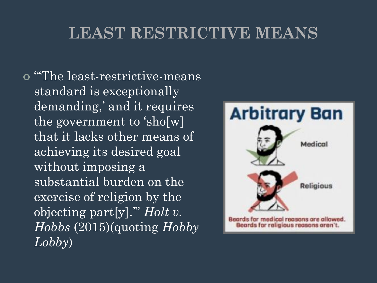# **LEAST RESTRICTIVE MEANS**

 "'The least-restrictive-means standard is exceptionally demanding,' and it requires the government to 'sho[w] that it lacks other means of achieving its desired goal without imposing a substantial burden on the exercise of religion by the objecting part[y].'" *Holt v. Hobbs* (2015)(quoting *Hobby Lobby*)

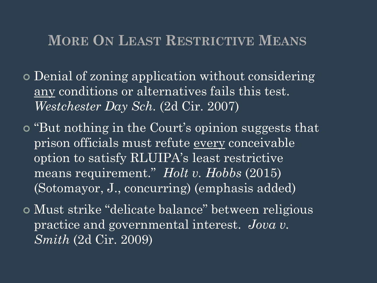#### **MORE ON LEAST RESTRICTIVE MEANS**

- Denial of zoning application without considering any conditions or alternatives fails this test. *Westchester Day Sch.* (2d Cir. 2007)
- "But nothing in the Court's opinion suggests that prison officials must refute every conceivable option to satisfy RLUIPA's least restrictive means requirement." *Holt v. Hobbs* (2015) (Sotomayor, J., concurring) (emphasis added)
- Must strike "delicate balance" between religious practice and governmental interest. *Jova v. Smith* (2d Cir. 2009)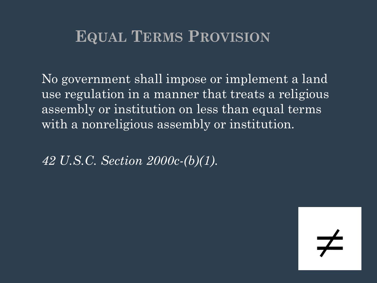# **EQUAL TERMS PROVISION**

No government shall impose or implement a land use regulation in a manner that treats a religious assembly or institution on less than equal terms with a nonreligious assembly or institution.

*42 U.S.C. Section 2000c-(b)(1)*.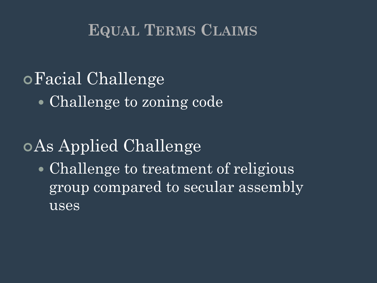# **EQUAL TERMS CLAIMS**

# Facial Challenge

• Challenge to zoning code

# As Applied Challenge

• Challenge to treatment of religious group compared to secular assembly uses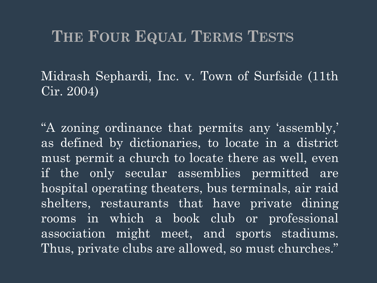Midrash Sephardi, Inc. v. Town of Surfside (11th Cir. 2004)

"A zoning ordinance that permits any 'assembly,' as defined by dictionaries, to locate in a district must permit a church to locate there as well, even if the only secular assemblies permitted are hospital operating theaters, bus terminals, air raid shelters, restaurants that have private dining rooms in which a book club or professional association might meet, and sports stadiums. Thus, private clubs are allowed, so must churches."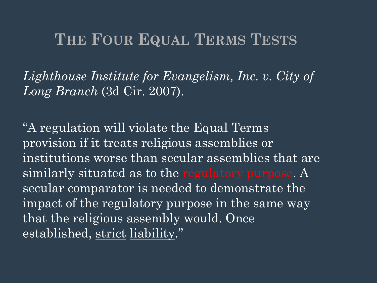*Lighthouse Institute for Evangelism, Inc. v. City of Long Branch* (3d Cir. 2007).

"A regulation will violate the Equal Terms provision if it treats religious assemblies or institutions worse than secular assemblies that are similarly situated as to the regulatory purpose. A secular comparator is needed to demonstrate the impact of the regulatory purpose in the same way that the religious assembly would. Once established, strict liability."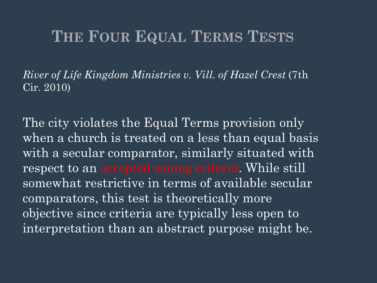*River of Life Kingdom Ministries v. Vill. of Hazel Crest* (7th Cir. 2010)

The city violates the Equal Terms provision only when a church is treated on a less than equal basis with a secular comparator, similarly situated with respect to an accepted zoning criteria. While still somewhat restrictive in terms of available secular comparators, this test is theoretically more objective since criteria are typically less open to interpretation than an abstract purpose might be.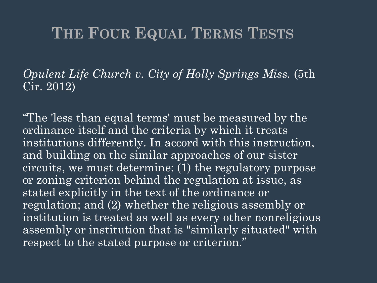*Opulent Life Church v. City of Holly Springs Miss.* (5th Cir. 2012)

"The 'less than equal terms' must be measured by the ordinance itself and the criteria by which it treats institutions differently. In accord with this instruction, and building on the similar approaches of our sister circuits, we must determine: (1) the regulatory purpose or zoning criterion behind the regulation at issue, as stated explicitly in the text of the ordinance or regulation; and (2) whether the religious assembly or institution is treated as well as every other nonreligious assembly or institution that is "similarly situated" with respect to the stated purpose or criterion."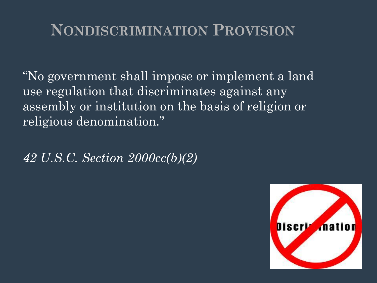# **NONDISCRIMINATION PROVISION**

"No government shall impose or implement a land use regulation that discriminates against any assembly or institution on the basis of religion or religious denomination."

*42 U.S.C. Section 2000cc(b)(2)*

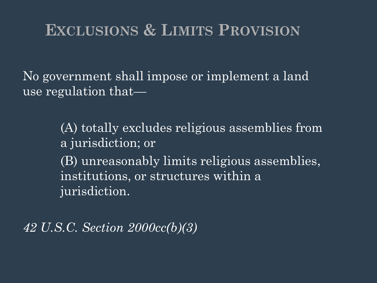# **EXCLUSIONS & LIMITS PROVISION**

No government shall impose or implement a land use regulation that—

> (A) totally excludes religious assemblies from a jurisdiction; or (B) unreasonably limits religious assemblies, institutions, or structures within a jurisdiction.

*42 U.S.C. Section 2000cc(b)(3)*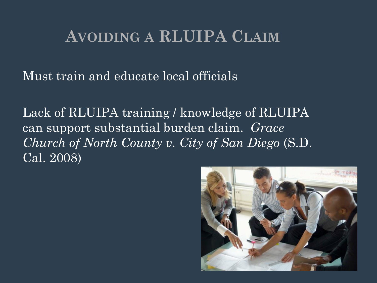Must train and educate local officials

Lack of RLUIPA training / knowledge of RLUIPA can support substantial burden claim. *Grace Church of North County v. City of San Diego* (S.D. Cal. 2008)

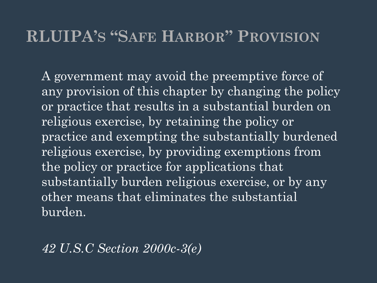## **RLUIPA'S "SAFE HARBOR" PROVISION**

A government may avoid the preemptive force of any provision of this chapter by changing the policy or practice that results in a substantial burden on religious exercise, by retaining the policy or practice and exempting the substantially burdened religious exercise, by providing exemptions from the policy or practice for applications that substantially burden religious exercise, or by any other means that eliminates the substantial burden.

*42 U.S.C Section 2000c-3(e)*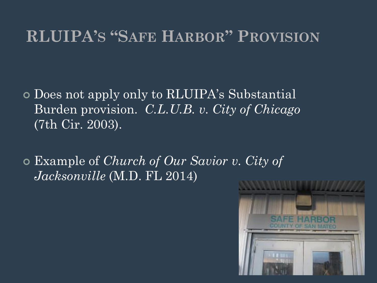# **RLUIPA'S "SAFE HARBOR" PROVISION**

 Does not apply only to RLUIPA's Substantial Burden provision. *C.L.U.B. v. City of Chicago* (7th Cir. 2003).

 Example of *Church of Our Savior v. City of Jacksonville* (M.D. FL 2014)

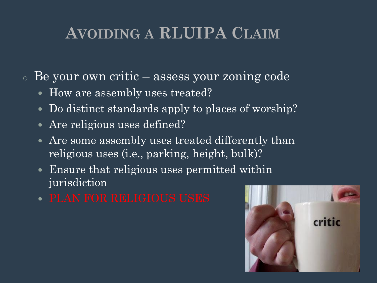- <sup>o</sup> Be your own critic assess your zoning code
	- How are assembly uses treated?
	- Do distinct standards apply to places of worship?
	- Are religious uses defined?
	- Are some assembly uses treated differently than religious uses (i.e., parking, height, bulk)?
	- Ensure that religious uses permitted within jurisdiction
	- PLAN FOR RELIGIOUS USES

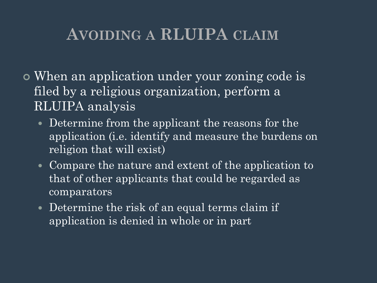- When an application under your zoning code is filed by a religious organization, perform a RLUIPA analysis
	- Determine from the applicant the reasons for the application (i.e. identify and measure the burdens on religion that will exist)
	- Compare the nature and extent of the application to that of other applicants that could be regarded as comparators
	- Determine the risk of an equal terms claim if application is denied in whole or in part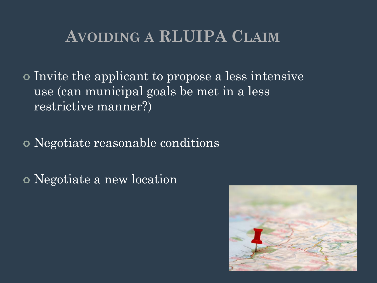Invite the applicant to propose a less intensive use (can municipal goals be met in a less restrictive manner?)

Negotiate reasonable conditions

Negotiate a new location

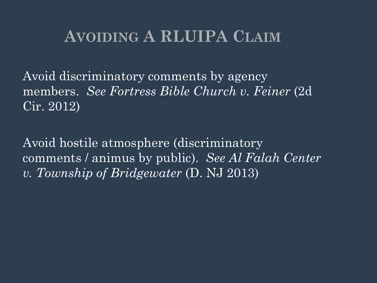Avoid discriminatory comments by agency members. *See Fortress Bible Church v. Feiner* (2d Cir. 2012)

Avoid hostile atmosphere (discriminatory comments / animus by public). *See Al Falah Center v. Township of Bridgewater* (D. NJ 2013)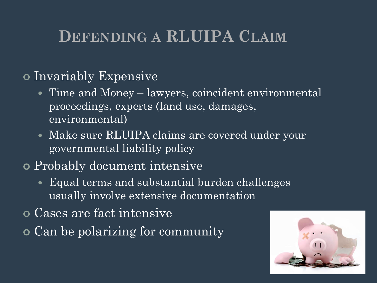# **DEFENDING A RLUIPA CLAIM**

#### Invariably Expensive

- Time and Money lawyers, coincident environmental proceedings, experts (land use, damages, environmental)
- Make sure RLUIPA claims are covered under your governmental liability policy

### Probably document intensive

- Equal terms and substantial burden challenges usually involve extensive documentation
- Cases are fact intensive
- Can be polarizing for community

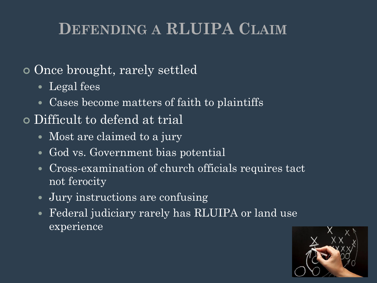# **DEFENDING A RLUIPA CLAIM**

## Once brought, rarely settled

- Legal fees
- Cases become matters of faith to plaintiffs
- Difficult to defend at trial
	- Most are claimed to a jury
	- God vs. Government bias potential
	- Cross-examination of church officials requires tact not ferocity
	- Jury instructions are confusing
	- Federal judiciary rarely has RLUIPA or land use experience

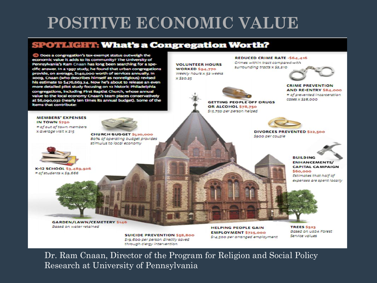# **POSITIVE ECONOMIC VALUE**

#### **SPOTLIGHT: What's a Congregation Worth?**



**GARDEN/LAWN/CEMETERY \$146** Based on water retained

> **SUICIDE PREVENTION \$58,800** S19,600 per person directly saved through clergy intervention

**HELPING PEOPLE GAIN EMPLOYMENT \$725,000** \$14,500 per arranged employment

**TREES \$523 Based on uspa Forest** Service values

Dr. Ram Cnaan, Director of the Program for Religion and Social Policy Research at University of Pennsylvania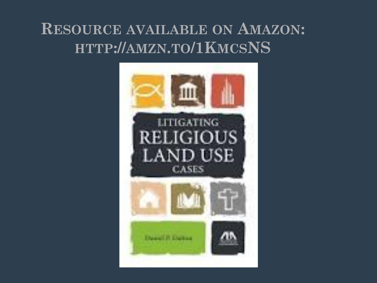# **RESOURCE AVAILABLE ON AMAZON: HTTP://AMZN.TO/1KMCSNS**